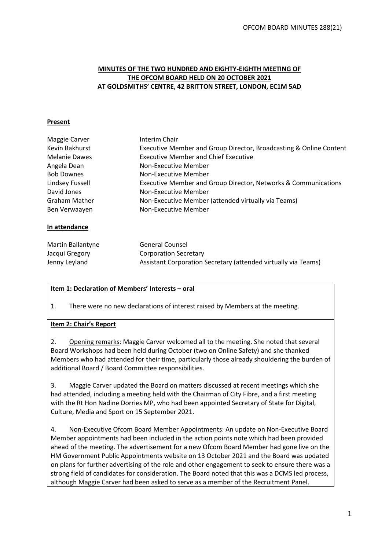#### **MINUTES OF THE TWO HUNDRED AND EIGHTY-EIGHTH MEETING OF THE OFCOM BOARD HELD ON 20 OCTOBER 2021 AT GOLDSMITHS' CENTRE, 42 BRITTON STREET, LONDON, EC1M 5AD**

#### **Present**

| Maggie Carver            | Interim Chair                                                      |
|--------------------------|--------------------------------------------------------------------|
| Kevin Bakhurst           | Executive Member and Group Director, Broadcasting & Online Content |
| <b>Melanie Dawes</b>     | <b>Executive Member and Chief Executive</b>                        |
| Angela Dean              | Non-Executive Member                                               |
| <b>Bob Downes</b>        | Non-Executive Member                                               |
| Lindsey Fussell          | Executive Member and Group Director, Networks & Communications     |
| David Jones              | Non-Executive Member                                               |
| <b>Graham Mather</b>     | Non-Executive Member (attended virtually via Teams)                |
| Ben Verwaayen            | Non-Executive Member                                               |
| In attendance            |                                                                    |
| <b>Martin Ballantyne</b> | <b>General Counsel</b>                                             |
| Jacqui Gregory           | <b>Corporation Secretary</b>                                       |
| Jenny Leyland            | Assistant Corporation Secretary (attended virtually via Teams)     |

## **Item 1: Declaration of Members' Interests – oral**

1. There were no new declarations of interest raised by Members at the meeting.

#### **Item 2: Chair's Report**

2. Opening remarks: Maggie Carver welcomed all to the meeting. She noted that several Board Workshops had been held during October (two on Online Safety) and she thanked Members who had attended for their time, particularly those already shouldering the burden of additional Board / Board Committee responsibilities.

3. Maggie Carver updated the Board on matters discussed at recent meetings which she had attended, including a meeting held with the Chairman of City Fibre, and a first meeting with the Rt Hon Nadine Dorries MP, who had been appointed Secretary of State for Digital, Culture, Media and Sport on 15 September 2021.

4. Non-Executive Ofcom Board Member Appointments: An update on Non-Executive Board Member appointments had been included in the action points note which had been provided ahead of the meeting. The advertisement for a new Ofcom Board Member had gone live on the HM Government Public Appointments website on 13 October 2021 and the Board was updated on plans for further advertising of the role and other engagement to seek to ensure there was a strong field of candidates for consideration. The Board noted that this was a DCMS led process, although Maggie Carver had been asked to serve as a member of the Recruitment Panel.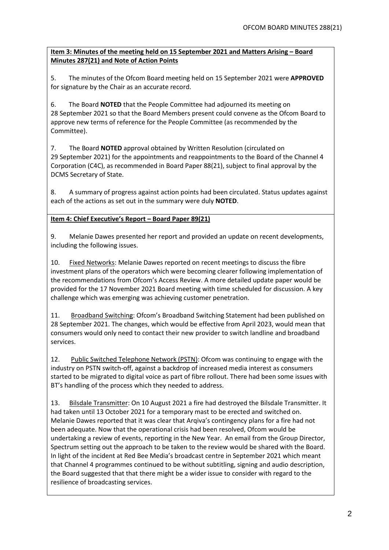# **Item 3: Minutes of the meeting held on 15 September 2021 and Matters Arising – Board Minutes 287(21) and Note of Action Points**

5. The minutes of the Ofcom Board meeting held on 15 September 2021 were **APPROVED** for signature by the Chair as an accurate record.

6. The Board **NOTED** that the People Committee had adjourned its meeting on 28 September 2021 so that the Board Members present could convene as the Ofcom Board to approve new terms of reference for the People Committee (as recommended by the Committee).

7. The Board **NOTED** approval obtained by Written Resolution (circulated on 29 September 2021) for the appointments and reappointments to the Board of the Channel 4 Corporation (C4C), as recommended in Board Paper 88(21), subject to final approval by the DCMS Secretary of State.

8. A summary of progress against action points had been circulated. Status updates against each of the actions as set out in the summary were duly **NOTED**.

# **Item 4: Chief Executive's Report – Board Paper 89(21)**

9. Melanie Dawes presented her report and provided an update on recent developments, including the following issues.

10. Fixed Networks: Melanie Dawes reported on recent meetings to discuss the fibre investment plans of the operators which were becoming clearer following implementation of the recommendations from Ofcom's Access Review. A more detailed update paper would be provided for the 17 November 2021 Board meeting with time scheduled for discussion. A key challenge which was emerging was achieving customer penetration.

11. Broadband Switching: Ofcom's Broadband Switching Statement had been published on 28 September 2021. The changes, which would be effective from April 2023, would mean that consumers would only need to contact their new provider to switch landline and broadband services.

12. Public Switched Telephone Network (PSTN): Ofcom was continuing to engage with the industry on PSTN switch-off, against a backdrop of increased media interest as consumers started to be migrated to digital voice as part of fibre rollout. There had been some issues with BT's handling of the process which they needed to address.

13. Bilsdale Transmitter: On 10 August 2021 a fire had destroyed the Bilsdale Transmitter. It had taken until 13 October 2021 for a temporary mast to be erected and switched on. Melanie Dawes reported that it was clear that Arqiva's contingency plans for a fire had not been adequate. Now that the operational crisis had been resolved, Ofcom would be undertaking a review of events, reporting in the New Year. An email from the Group Director, Spectrum setting out the approach to be taken to the review would be shared with the Board. In light of the incident at Red Bee Media's broadcast centre in September 2021 which meant that Channel 4 programmes continued to be without subtitling, signing and audio description, the Board suggested that that there might be a wider issue to consider with regard to the resilience of broadcasting services.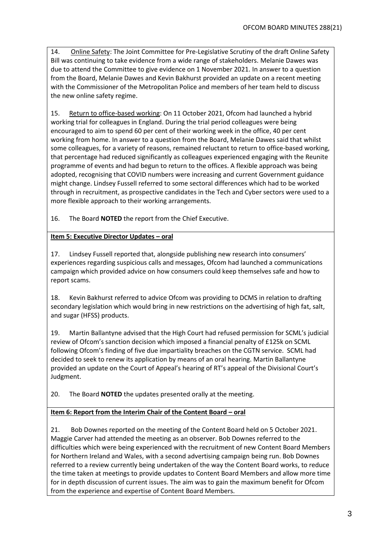14. Online Safety: The Joint Committee for Pre-Legislative Scrutiny of the draft Online Safety Bill was continuing to take evidence from a wide range of stakeholders. Melanie Dawes was due to attend the Committee to give evidence on 1 November 2021. In answer to a question from the Board, Melanie Dawes and Kevin Bakhurst provided an update on a recent meeting with the Commissioner of the Metropolitan Police and members of her team held to discuss the new online safety regime.

15. Return to office-based working: On 11 October 2021, Ofcom had launched a hybrid working trial for colleagues in England. During the trial period colleagues were being encouraged to aim to spend 60 per cent of their working week in the office, 40 per cent working from home. In answer to a question from the Board, Melanie Dawes said that whilst some colleagues, for a variety of reasons, remained reluctant to return to office-based working, that percentage had reduced significantly as colleagues experienced engaging with the Reunite programme of events and had begun to return to the offices. A flexible approach was being adopted, recognising that COVID numbers were increasing and current Government guidance might change. Lindsey Fussell referred to some sectoral differences which had to be worked through in recruitment, as prospective candidates in the Tech and Cyber sectors were used to a more flexible approach to their working arrangements.

16. The Board **NOTED** the report from the Chief Executive.

## **Item 5: Executive Director Updates – oral**

17. Lindsey Fussell reported that, alongside publishing new research into consumers' experiences regarding suspicious calls and messages, Ofcom had launched a communications campaign which provided advice on how consumers could keep themselves safe and how to report scams.

18. Kevin Bakhurst referred to advice Ofcom was providing to DCMS in relation to drafting secondary legislation which would bring in new restrictions on the advertising of high fat, salt, and sugar (HFSS) products.

19. Martin Ballantyne advised that the High Court had refused permission for SCML's judicial review of Ofcom's sanction decision which imposed a financial penalty of £125k on SCML following Ofcom's finding of five due impartiality breaches on the CGTN service. SCML had decided to seek to renew its application by means of an oral hearing. Martin Ballantyne provided an update on the Court of Appeal's hearing of RT's appeal of the Divisional Court's Judgment.

20. The Board **NOTED** the updates presented orally at the meeting.

## **Item 6: Report from the Interim Chair of the Content Board – oral**

21. Bob Downes reported on the meeting of the Content Board held on 5 October 2021. Maggie Carver had attended the meeting as an observer. Bob Downes referred to the difficulties which were being experienced with the recruitment of new Content Board Members for Northern Ireland and Wales, with a second advertising campaign being run. Bob Downes referred to a review currently being undertaken of the way the Content Board works, to reduce the time taken at meetings to provide updates to Content Board Members and allow more time for in depth discussion of current issues. The aim was to gain the maximum benefit for Ofcom from the experience and expertise of Content Board Members.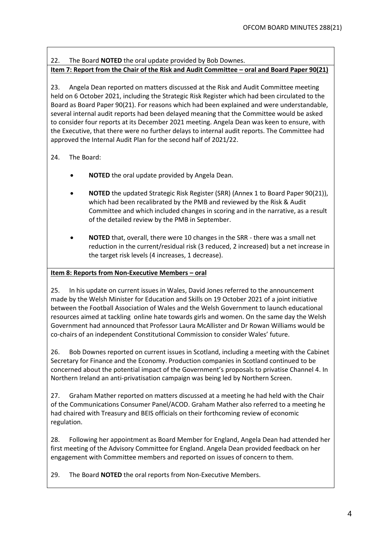# 22. The Board **NOTED** the oral update provided by Bob Downes.

#### **Item 7: Report from the Chair of the Risk and Audit Committee – oral and Board Paper 90(21)**

23. Angela Dean reported on matters discussed at the Risk and Audit Committee meeting held on 6 October 2021, including the Strategic Risk Register which had been circulated to the Board as Board Paper 90(21). For reasons which had been explained and were understandable, several internal audit reports had been delayed meaning that the Committee would be asked to consider four reports at its December 2021 meeting. Angela Dean was keen to ensure, with the Executive, that there were no further delays to internal audit reports. The Committee had approved the Internal Audit Plan for the second half of 2021/22.

## 24. The Board:

- **NOTED** the oral update provided by Angela Dean.
- **NOTED** the updated Strategic Risk Register (SRR) (Annex 1 to Board Paper 90(21)), which had been recalibrated by the PMB and reviewed by the Risk & Audit Committee and which included changes in scoring and in the narrative, as a result of the detailed review by the PMB in September.
- **NOTED** that, overall, there were 10 changes in the SRR there was a small net reduction in the current/residual risk (3 reduced, 2 increased) but a net increase in the target risk levels (4 increases, 1 decrease).

#### **Item 8: Reports from Non-Executive Members – oral**

25. In his update on current issues in Wales, David Jones referred to the announcement made by the Welsh Minister for Education and Skills on 19 October 2021 of a joint initiative between the Football Association of Wales and the Welsh Government to launch educational resources aimed at tackling online hate towards girls and women. On the same day the Welsh Government had announced that Professor Laura McAllister and Dr Rowan Williams would be co-chairs of an independent Constitutional Commission to consider Wales' future.

26. Bob Downes reported on current issues in Scotland, including a meeting with the Cabinet Secretary for Finance and the Economy. Production companies in Scotland continued to be concerned about the potential impact of the Government's proposals to privatise Channel 4. In Northern Ireland an anti-privatisation campaign was being led by Northern Screen.

27. Graham Mather reported on matters discussed at a meeting he had held with the Chair of the Communications Consumer Panel/ACOD. Graham Mather also referred to a meeting he had chaired with Treasury and BEIS officials on their forthcoming review of economic regulation.

28. Following her appointment as Board Member for England, Angela Dean had attended her first meeting of the Advisory Committee for England. Angela Dean provided feedback on her engagement with Committee members and reported on issues of concern to them.

29. The Board **NOTED** the oral reports from Non-Executive Members.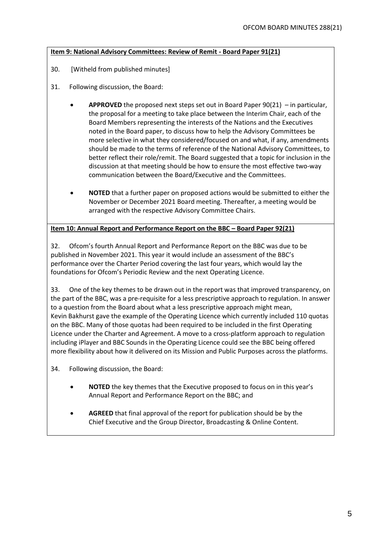#### **Item 9: National Advisory Committees: Review of Remit - Board Paper 91(21)**

- 30. [Witheld from published minutes]
- 31. Following discussion, the Board:
	- **APPROVED** the proposed next steps set out in Board Paper 90(21) in particular, the proposal for a meeting to take place between the Interim Chair, each of the Board Members representing the interests of the Nations and the Executives noted in the Board paper, to discuss how to help the Advisory Committees be more selective in what they considered/focused on and what, if any, amendments should be made to the terms of reference of the National Advisory Committees, to better reflect their role/remit. The Board suggested that a topic for inclusion in the discussion at that meeting should be how to ensure the most effective two-way communication between the Board/Executive and the Committees.
	- **NOTED** that a further paper on proposed actions would be submitted to either the November or December 2021 Board meeting. Thereafter, a meeting would be arranged with the respective Advisory Committee Chairs.

**Item 10: Annual Report and Performance Report on the BBC – Board Paper 92(21)**

32. Ofcom's fourth Annual Report and Performance Report on the BBC was due to be published in November 2021. This year it would include an assessment of the BBC's performance over the Charter Period covering the last four years, which would lay the foundations for Ofcom's Periodic Review and the next Operating Licence.

33. One of the key themes to be drawn out in the report was that improved transparency, on the part of the BBC, was a pre-requisite for a less prescriptive approach to regulation. In answer to a question from the Board about what a less prescriptive approach might mean, Kevin Bakhurst gave the example of the Operating Licence which currently included 110 quotas on the BBC. Many of those quotas had been required to be included in the first Operating Licence under the Charter and Agreement. A move to a cross-platform approach to regulation including iPlayer and BBC Sounds in the Operating Licence could see the BBC being offered more flexibility about how it delivered on its Mission and Public Purposes across the platforms.

34. Following discussion, the Board:

- **NOTED** the key themes that the Executive proposed to focus on in this year's Annual Report and Performance Report on the BBC; and
- **AGREED** that final approval of the report for publication should be by the Chief Executive and the Group Director, Broadcasting & Online Content.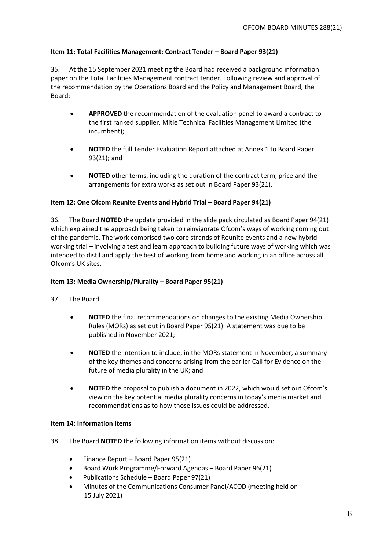# **Item 11: Total Facilities Management: Contract Tender – Board Paper 93(21)**

35. At the 15 September 2021 meeting the Board had received a background information paper on the Total Facilities Management contract tender. Following review and approval of the recommendation by the Operations Board and the Policy and Management Board, the Board:

- **APPROVED** the recommendation of the evaluation panel to award a contract to the first ranked supplier, Mitie Technical Facilities Management Limited (the incumbent);
- **NOTED** the full Tender Evaluation Report attached at Annex 1 to Board Paper 93(21); and
- **NOTED** other terms, including the duration of the contract term, price and the arrangements for extra works as set out in Board Paper 93(21).

## **Item 12: One Ofcom Reunite Events and Hybrid Trial - Board Paper 94(21)**

36. The Board **NOTED** the update provided in the slide pack circulated as Board Paper 94(21) which explained the approach being taken to reinvigorate Ofcom's ways of working coming out of the pandemic. The work comprised two core strands of Reunite events and a new hybrid working trial – involving a test and learn approach to building future ways of working which was intended to distil and apply the best of working from home and working in an office across all Ofcom's UK sites.

## **Item 13: Media Ownership/Plurality – Board Paper 95(21)**

- 37. The Board:
	- **NOTED** the final recommendations on changes to the existing Media Ownership Rules (MORs) as set out in Board Paper 95(21). A statement was due to be published in November 2021;
	- **NOTED** the intention to include, in the MORs statement in November, a summary of the key themes and concerns arising from the earlier Call for Evidence on the future of media plurality in the UK; and
	- **NOTED** the proposal to publish a document in 2022, which would set out Ofcom's view on the key potential media plurality concerns in today's media market and recommendations as to how those issues could be addressed.

## **Item 14: Information Items**

- 38. The Board **NOTED** the following information items without discussion:
	- Finance Report Board Paper 95(21)
	- Board Work Programme/Forward Agendas Board Paper 96(21)
	- Publications Schedule Board Paper 97(21)
	- Minutes of the Communications Consumer Panel/ACOD (meeting held on 15 July 2021)